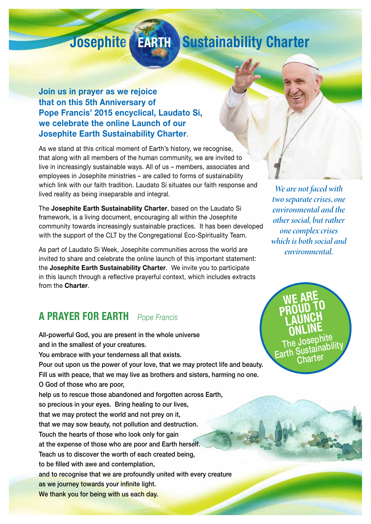# **Josephite EARTH Sustainability Charter**

#### **Join us in prayer as we rejoice that on this 5th Anniversary of Pope Francis' 2015 encyclical, Laudato Si, we celebrate the online Launch of our Josephite Earth Sustainability Charter**.

As we stand at this critical moment of Earth's history, we recognise, that along with all members of the human community, we are invited to live in increasingly sustainable ways. All of us – members, associates and employees in Josephite ministries – are called to forms of sustainability which link with our faith tradition. Laudato Si situates our faith response and lived reality as being inseparable and integral.

The **Josephite Earth Sustainability Charter**, based on the Laudato Si framework, is a living document, encouraging all within the Josephite community towards increasingly sustainable practices. It has been developed with the support of the CLT by the Congregational Eco-Spirituality Team.

As part of Laudato Si Week, Josephite communities across the world are invited to share and celebrate the online launch of this important statement: the **Josephite Earth Sustainability Charter**. We invite you to participate in this launch through a reflective prayerful context, which includes extracts from the **Charter**.

### **A PRAYER FOR EARTH** *Pope Francis*

All-powerful God, you are present in the whole universe and in the smallest of your creatures. You embrace with your tenderness all that exists. Pour out upon us the power of your love, that we may protect life and beauty. Fill us with peace, that we may live as brothers and sisters, harming no one. O God of those who are poor, help us to rescue those abandoned and forgotten across Earth, so precious in your eyes. Bring healing to our lives, that we may protect the world and not prey on it, that we may sow beauty, not pollution and destruction. Touch the hearts of those who look only for gain at the expense of those who are poor and Earth herself. Teach us to discover the worth of each created being, to be filled with awe and contemplation, and to recognise that we are profoundly united with every creature as we journey towards your infinite light. We thank you for being with us each day.

*We are not faced with two separate crises, one environmental and the other social, but rather one complex crises which is both social and environmental.*

**WE ARE PROUD TO LAUNCH ONLINE** The Josephite<br>Earth Sustainability<br>Charter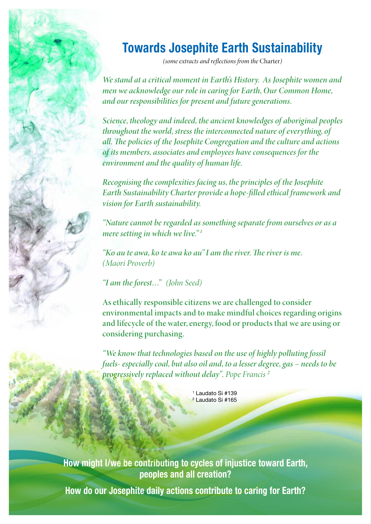## **Towards Josephite Earth Sustainability**

*(some extracts and reflections from the* Charter*)*

*We stand at a critical moment in Earth's History. As Josephite women and men we acknowledge our role in caring for Earth, Our Common Home, and our responsibilities for present and future generations.* 

*Science, theology and indeed, the ancient knowledges of aboriginal peoples throughout the world, stress the interconnected nature of everything, of all. The policies of the Josephite Congregation and the culture and actions of its members, associates and employees have consequences for the environment and the quality of human life.*

*Recognising the complexities facing us, the principles of the Josephite Earth Sustainability Charter provide a hope-filled ethical framework and vision for Earth sustainability.* 

*"Nature cannot be regarded as something separate from ourselves or as a mere setting in which we live." 1*

*"Ko au te awa, ko te awa ko au" I am the river. The river is me. (Maori Proverb)*

*"I am the forest…" (John Seed)*

**As ethically responsible citizens we are challenged to consider environmental impacts and to make mindful choices regarding origins and lifecycle of the water, energy, food or products that we are using or considering purchasing.**

*"We know that technologies based on the use of highly polluting fossil fuels- especially coal, but also oil and, to a lesser degree, gas – needs to be progressively replaced without delay". Pope Francis <sup>2</sup>*

> 1 Laudato Si #139 <mark>²</mark> Laudato Si #165

**How might I/we be contributing to cycles of injustice toward Earth, peoples and all creation?**

**How do our Josephite daily actions contribute to caring for Earth?**